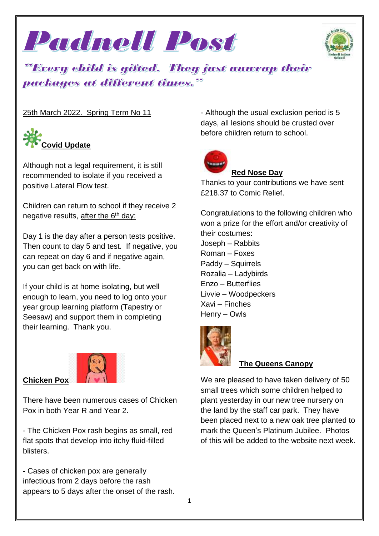



*Every child is gifted. They just wovrap their* packages at different times."

#### 25th March 2022. Spring Term No 11



Although not a legal requirement, it is still recommended to isolate if you received a positive Lateral Flow test.

Children can return to school if they receive 2 negative results, after the  $6<sup>th</sup>$  day:

Day 1 is the day after a person tests positive. Then count to day 5 and test. If negative, you can repeat on day 6 and if negative again, you can get back on with life.

If your child is at home isolating, but well enough to learn, you need to log onto your year group learning platform (Tapestry or Seesaw) and support them in completing their learning. Thank you.



**Chicken Pox**

There have been numerous cases of Chicken Pox in both Year R and Year 2.

- The Chicken Pox rash begins as small, red flat spots that develop into itchy fluid-filled blisters.

- Cases of chicken pox are generally infectious from 2 days before the rash appears to 5 days after the onset of the rash. - Although the usual exclusion period is 5 days, all lesions should be crusted over before children return to school.



#### **Red Nose Day**

Thanks to your contributions we have sent £218.37 to Comic Relief.

Congratulations to the following children who won a prize for the effort and/or creativity of their costumes: Joseph – Rabbits Roman – Foxes Paddy – Squirrels Rozalia – Ladybirds Enzo – Butterflies Livvie – Woodpeckers Xavi – Finches Henry – Owls



#### **The Queens Canopy**

We are pleased to have taken delivery of 50 small trees which some children helped to plant yesterday in our new tree nursery on the land by the staff car park. They have been placed next to a new oak tree planted to mark the Queen's Platinum Jubilee. Photos of this will be added to the website next week.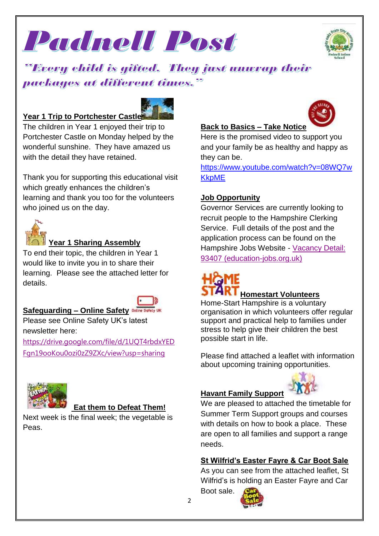



## "Every child is gifted. They just unwrap their packages at different times."

#### **Year 1 Trip to Portchester Castle**



The children in Year 1 enjoyed their trip to Portchester Castle on Monday helped by the wonderful sunshine. They have amazed us with the detail they have retained.

Thank you for supporting this educational visit which greatly enhances the children's learning and thank you too for the volunteers who joined us on the day.



#### **Year 1 Sharing Assembly**

To end their topic, the children in Year 1 would like to invite you in to share their learning. Please see the attached letter for details.

# **Safeguarding – Online Safety**

Please see Online Safety UK's latest newsletter here:

[https://drive.google.com/file/d/1UQT4rbdxYED](https://drive.google.com/file/d/1UQT4rbdxYEDFgn19ooKou0ozi0zZ9ZXc/view?usp=sharing) [Fgn19ooKou0ozi0zZ9ZXc/view?usp=sharing](https://drive.google.com/file/d/1UQT4rbdxYEDFgn19ooKou0ozi0zZ9ZXc/view?usp=sharing)



#### **Eat them to Defeat Them!**

Next week is the final week; the vegetable is Peas.

#### **Back to Basics – Take Notice**

Here is the promised video to support you and your family be as healthy and happy as they can be.

[https://www.youtube.com/watch?v=08WQ7w](https://www.youtube.com/watch?v=08WQ7wKkpME) **[KkpME](https://www.youtube.com/watch?v=08WQ7wKkpME)** 

#### **Job Opportunity**

Governor Services are currently looking to recruit people to the Hampshire Clerking Service. Full details of the post and the application process can be found on the Hampshire Jobs Website - [Vacancy](http://mail.governorhub.com/track/click/30059758/hampshire.education-jobs.org.uk?p=eyJzIjoiLVlxM1RtOHQ3UGtlTjZaU1BManpCMkdzdnh3IiwidiI6MSwicCI6IntcInVcIjozMDA1OTc1OCxcInZcIjoxLFwidXJsXCI6XCJodHRwczpcXFwvXFxcL2hhbXBzaGlyZS5lZHVjYXRpb24tam9icy5vcmcudWtcXFwvVmFjYW5jeVxcXC9EZXRhaWxzXFxcLzkzNDA3XFxcL0wxWmhZMkZ1WTNrdlUyVmhjbU5vVW1WemRXeDBjejl5WlhSeWFXVjJaVVpwYkhSbGNqMTBjblZsXCIsXCJpZFwiOlwiZTlhMWViNmZlMTg5NGYzNGIwMDQzMzgzYmIwYzRhYWZcIixcInVybF9pZHNcIjpbXCI3NGYzNmM2OWVlMGI3NTIyZDVjMDRhZmNlNmFhODBmYzg3M2IzMThhXCJdfSJ9) Detail: 93407 [\(education-jobs.org.uk\)](http://mail.governorhub.com/track/click/30059758/hampshire.education-jobs.org.uk?p=eyJzIjoiLVlxM1RtOHQ3UGtlTjZaU1BManpCMkdzdnh3IiwidiI6MSwicCI6IntcInVcIjozMDA1OTc1OCxcInZcIjoxLFwidXJsXCI6XCJodHRwczpcXFwvXFxcL2hhbXBzaGlyZS5lZHVjYXRpb24tam9icy5vcmcudWtcXFwvVmFjYW5jeVxcXC9EZXRhaWxzXFxcLzkzNDA3XFxcL0wxWmhZMkZ1WTNrdlUyVmhjbU5vVW1WemRXeDBjejl5WlhSeWFXVjJaVVpwYkhSbGNqMTBjblZsXCIsXCJpZFwiOlwiZTlhMWViNmZlMTg5NGYzNGIwMDQzMzgzYmIwYzRhYWZcIixcInVybF9pZHNcIjpbXCI3NGYzNmM2OWVlMGI3NTIyZDVjMDRhZmNlNmFhODBmYzg3M2IzMThhXCJdfSJ9)

# **Homestart Volunteers**

Home-Start Hampshire is a voluntary organisation in which volunteers offer regular support and practical help to families under stress to help give their children the best possible start in life.

Please find attached a leaflet with information about upcoming training opportunities.

#### **Havant Family Support**



We are pleased to attached the timetable for Summer Term Support groups and courses with details on how to book a place. These are open to all families and support a range needs.

#### **St Wilfrid's Easter Fayre & Car Boot Sale**

As you can see from the attached leaflet, St Wilfrid's is holding an Easter Fayre and Car Boot sale.